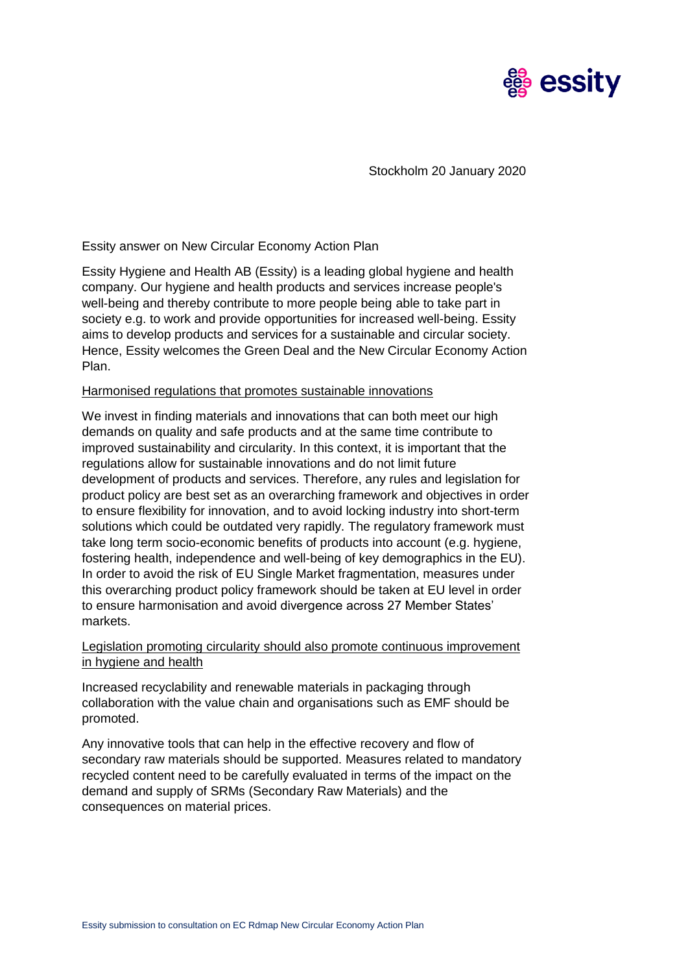

Stockholm 20 January 2020

## Essity answer on New Circular Economy Action Plan

Essity Hygiene and Health AB (Essity) is a leading global hygiene and health company. Our hygiene and health products and services increase people's well-being and thereby contribute to more people being able to take part in society e.g. to work and provide opportunities for increased well-being. Essity aims to develop products and services for a sustainable and circular society. Hence, Essity welcomes the Green Deal and the New Circular Economy Action Plan.

## Harmonised regulations that promotes sustainable innovations

We invest in finding materials and innovations that can both meet our high demands on quality and safe products and at the same time contribute to improved sustainability and circularity. In this context, it is important that the regulations allow for sustainable innovations and do not limit future development of products and services. Therefore, any rules and legislation for product policy are best set as an overarching framework and objectives in order to ensure flexibility for innovation, and to avoid locking industry into short-term solutions which could be outdated very rapidly. The regulatory framework must take long term socio-economic benefits of products into account (e.g. hygiene, fostering health, independence and well-being of key demographics in the EU). In order to avoid the risk of EU Single Market fragmentation, measures under this overarching product policy framework should be taken at EU level in order to ensure harmonisation and avoid divergence across 27 Member States' markets.

## Legislation promoting circularity should also promote continuous improvement in hygiene and health

Increased recyclability and renewable materials in packaging through collaboration with the value chain and organisations such as EMF should be promoted.

Any innovative tools that can help in the effective recovery and flow of secondary raw materials should be supported. Measures related to mandatory recycled content need to be carefully evaluated in terms of the impact on the demand and supply of SRMs (Secondary Raw Materials) and the consequences on material prices.